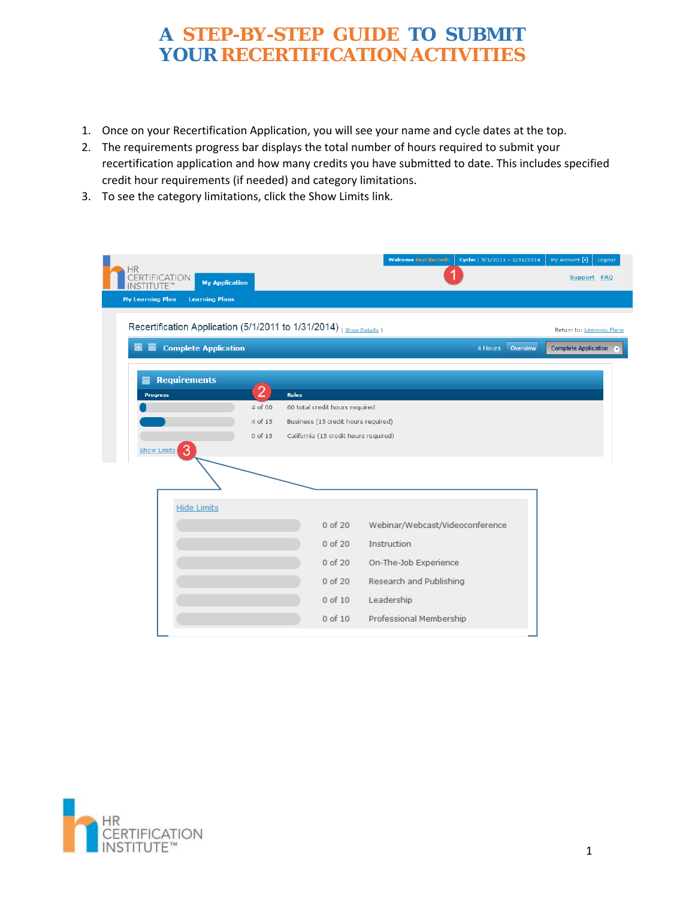- 1. Once on your Recertification Application, you will see your name and cycle dates at the top.
- 2. The requirements progress bar displays the total number of hours required to submit your recertification application and how many credits you have submitted to date. This includes specified credit hour requirements (if needed) and category limitations.
- 3. To see the category limitations, click the Show Limits link.

| <b>HR</b>                                                          |                |              |                                       | <b>Welcome Test Record!</b>     | Cycle:   5/1/2011 - 1/31/2014 |          | My Account [+]<br>Logout                                |
|--------------------------------------------------------------------|----------------|--------------|---------------------------------------|---------------------------------|-------------------------------|----------|---------------------------------------------------------|
| <b>CERTIFICATION</b><br><b>My Application</b><br>UTE™              |                |              |                                       |                                 |                               |          | Support FAQ                                             |
| <b>My Learning Plan</b><br><b>Learning Plans</b>                   |                |              |                                       |                                 |                               |          |                                                         |
| Recertification Application (5/1/2011 to 1/31/2014) (Show Details) |                |              |                                       |                                 |                               |          |                                                         |
|                                                                    |                |              |                                       |                                 |                               |          | Return to: Learning Plans                               |
| <b>Complete Application</b><br>▣<br>▣                              |                |              |                                       |                                 | 4 Hours                       | Overview | <b>Complete Application</b><br>$\left( \bullet \right)$ |
| <b>Requirements</b><br>▣                                           |                |              |                                       |                                 |                               |          |                                                         |
| Progress                                                           | $\overline{2}$ | <b>Rules</b> |                                       |                                 |                               |          |                                                         |
|                                                                    | 4 of 60        |              | 60 total credit hours required        |                                 |                               |          |                                                         |
|                                                                    | 4 of 15        |              | Business (15 credit hours required)   |                                 |                               |          |                                                         |
|                                                                    | 0 of 15        |              | California (15 credit hours required) |                                 |                               |          |                                                         |
| 3<br><b>Show Limits</b>                                            |                |              |                                       |                                 |                               |          |                                                         |
|                                                                    |                |              |                                       |                                 |                               |          |                                                         |
|                                                                    |                |              |                                       |                                 |                               |          |                                                         |
| <b>Hide Limits</b>                                                 |                |              |                                       |                                 |                               |          |                                                         |
|                                                                    |                |              | 0 of 20                               | Webinar/Webcast/Videoconference |                               |          |                                                         |
|                                                                    |                |              | 0 of 20                               | Instruction                     |                               |          |                                                         |
|                                                                    |                |              | 0 of 20                               | On-The-Job Experience           |                               |          |                                                         |
|                                                                    |                |              | 0 of 20                               | Research and Publishing         |                               |          |                                                         |
|                                                                    |                |              | 0 of 10                               | Leadership                      |                               |          |                                                         |
|                                                                    |                |              |                                       |                                 |                               |          |                                                         |
|                                                                    |                |              | $0$ of $10$                           | Professional Membership         |                               |          |                                                         |

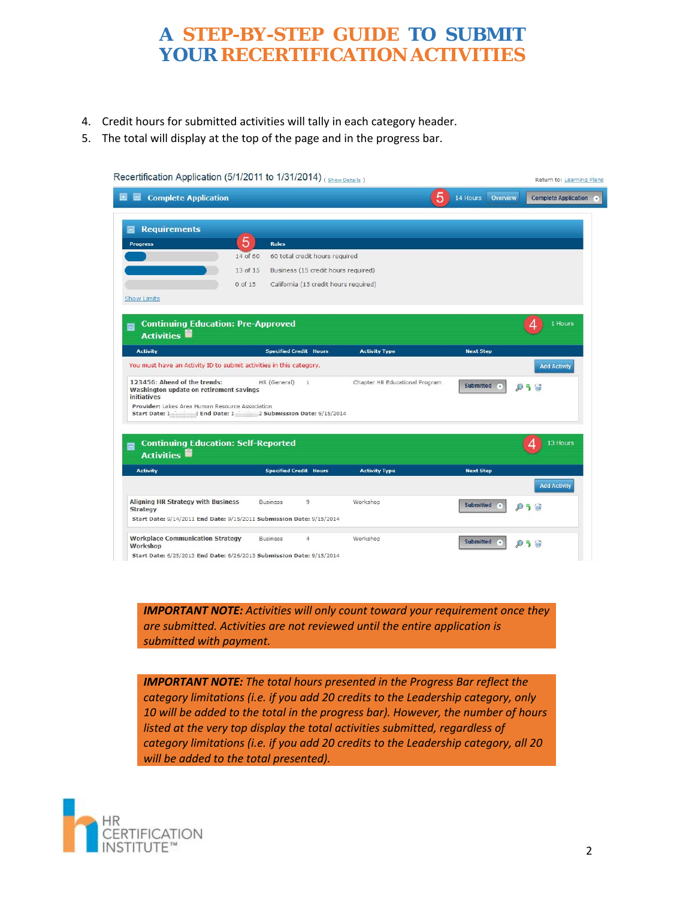- 4. Credit hours for submitted activities will tally in each category header.
- 5. The total will display at the top of the page and in the progress bar.

| Recertification Application (5/1/2011 to 1/31/2014) (Show Details)                                                   |                   |                                       |                                |                      | Return to: Learning Plans   |
|----------------------------------------------------------------------------------------------------------------------|-------------------|---------------------------------------|--------------------------------|----------------------|-----------------------------|
| <b>Complete Application</b><br>삠                                                                                     |                   |                                       | 5                              | Overview<br>14 Hours | <b>Complete Application</b> |
| <b>Requirements</b><br>⊟                                                                                             |                   |                                       |                                |                      |                             |
| Progress                                                                                                             | 5<br><b>Rules</b> |                                       |                                |                      |                             |
|                                                                                                                      | 14 of 60          | 60 total credit hours required        |                                |                      |                             |
|                                                                                                                      | 13 of 15          | Business (15 credit hours required)   |                                |                      |                             |
|                                                                                                                      | 0 of 15           | California (15 credit hours required) |                                |                      |                             |
| <b>Show Limits</b>                                                                                                   |                   |                                       |                                |                      |                             |
|                                                                                                                      |                   |                                       |                                |                      |                             |
| <b>Continuing Education: Pre-Approved</b><br>面<br><b>Activities</b>                                                  |                   |                                       |                                |                      | 1 Hours                     |
| <b>Activity</b>                                                                                                      |                   | <b>Specified Credit Hours</b>         | <b>Activity Type</b>           | <b>Next Step</b>     |                             |
| You must have an Activity ID to submit activities in this category.                                                  |                   |                                       |                                |                      | <b>Add Activity</b>         |
| 123456: Ahead of the trends:<br>Washington update on retirement savings<br><i>initiatives</i>                        | HR (General)      | $\mathbf{1}$                          | Chapter HR Educational Program | <b>Submitted</b>     |                             |
| Provider: Lakes Area Human Resource Association<br>Start Date: 1"""""? End Date: 1""""""2 Submission Date: 9/15/2014 |                   |                                       |                                |                      |                             |
|                                                                                                                      |                   |                                       |                                |                      |                             |
| <b>Continuing Education: Self-Reported</b><br>目<br>Activities <sup></sup>                                            |                   |                                       |                                |                      | 13 Hours                    |
| <b>Activity</b>                                                                                                      |                   | <b>Specified Credit Hours</b>         | <b>Activity Type</b>           | <b>Next Step</b>     |                             |
|                                                                                                                      |                   |                                       |                                |                      | <b>Add Activity</b>         |
| <b>Aligning HR Strategy with Business</b><br><b>Strategy</b>                                                         | <b>Business</b>   | 9                                     | Workshop                       | <b>Submitted</b>     |                             |
| Start Date: 9/14/2011 End Date: 9/15/2011 Submission Date: 9/15/2014                                                 |                   |                                       |                                |                      |                             |
| <b>Workplace Communication Strategy</b><br>Workshop                                                                  | <b>Business</b>   | $\overline{4}$                        | Workshop                       | Submitted<br>ъ       |                             |
| Start Date: 6/25/2013 End Date: 6/26/2013 Submission Date: 9/15/2014                                                 |                   |                                       |                                |                      |                             |

 *IMPORTANT NOTE: Activities will only count toward your requirement once they are submitted. Activities are not reviewed until the entire application is submitted with payment.*

*IMPORTANT NOTE: The total hours presented in the Progress Bar reflect the category limitations (i.e. if you add 20 credits to the Leadership category, only 10 will be added to the total in the progress bar). However, the number of hours listed at the very top display the total activities submitted, regardless of category limitations (i.e. if you add 20 credits to the Leadership category, all 20 will be added to the total presented).*

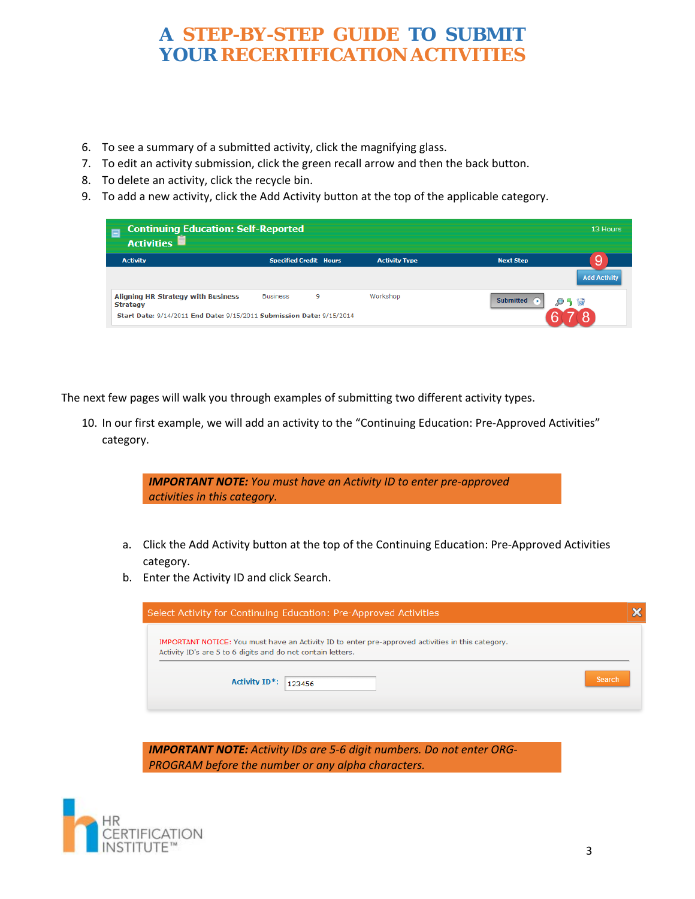- 6. To see a summary of a submitted activity, click the magnifying glass.
- 7. To edit an activity submission, click the green recall arrow and then the back button.
- 8. To delete an activity, click the recycle bin.
- 9. To add a new activity, click the Add Activity button at the top of the applicable category.

| <b>Continuing Education: Self-Reported</b><br><b>Activities</b>      |                               |   |                      |                  | 13 Hours            |
|----------------------------------------------------------------------|-------------------------------|---|----------------------|------------------|---------------------|
| <b>Activity</b>                                                      | <b>Specified Credit Hours</b> |   | <b>Activity Type</b> | <b>Next Step</b> | 9                   |
|                                                                      |                               |   |                      |                  | <b>Add Activity</b> |
| <b>Aligning HR Strategy with Business</b><br><b>Strategy</b>         | <b>Business</b>               | 9 | Workshop             | <b>Submitted</b> |                     |
| Start Date: 9/14/2011 End Date: 9/15/2011 Submission Date: 9/15/2014 |                               |   |                      |                  |                     |

The next few pages will walk you through examples of submitting two different activity types.

10. In our first example, we will add an activity to the "Continuing Education: Pre-Approved Activities" category.

|    | <b>IMPORTANT NOTE:</b> You must have an Activity ID to enter pre-approved<br>activities in this category.                                                               |
|----|-------------------------------------------------------------------------------------------------------------------------------------------------------------------------|
| а. | Click the Add Activity button at the top of the Continuing Education: Pre-Approved Activities<br>category.                                                              |
| b. | Enter the Activity ID and click Search.                                                                                                                                 |
|    |                                                                                                                                                                         |
|    |                                                                                                                                                                         |
|    | x<br>Select Activity for Continuing Education: Pre-Approved Activities                                                                                                  |
|    | <b>IMPORTANT NOTICE:</b> You must have an Activity ID to enter pre-approved activities in this category.<br>Activity ID's are 5 to 6 digits and do not contain letters. |
|    | Search<br><b>Activity ID*:</b><br>123456                                                                                                                                |

*IMPORTANT NOTE: Activity IDs are 5‐6 digit numbers. Do not enter ORG‐ PROGRAM before the number or any alpha characters.*

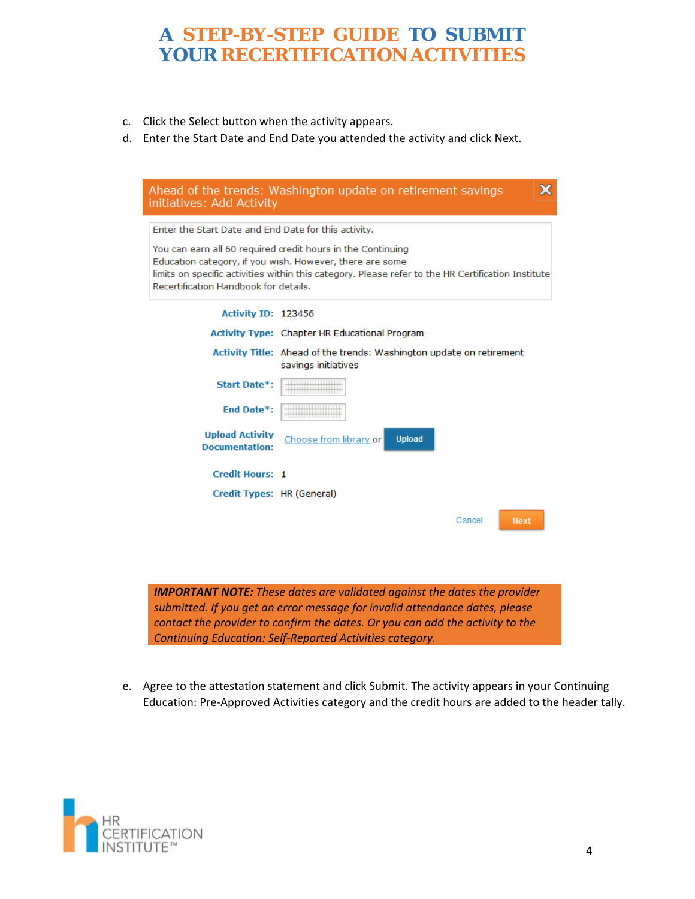- c. Click the Select button when the activity appears.
- d. Enter the Start Date and End Date you attended the activity and click Next.

|                                                      | Ahead of the trends: Washington update on retirement savings                                       | x |
|------------------------------------------------------|----------------------------------------------------------------------------------------------------|---|
| initiatives: Add Activity                            |                                                                                                    |   |
|                                                      |                                                                                                    |   |
| Enter the Start Date and End Date for this activity. |                                                                                                    |   |
|                                                      | You can earn all 60 required credit hours in the Continuing                                        |   |
|                                                      | Education category, if you wish. However, there are some                                           |   |
| Recertification Handbook for details.                | limits on specific activities within this category. Please refer to the HR Certification Institute |   |
|                                                      |                                                                                                    |   |
| Activity ID: 123456                                  |                                                                                                    |   |
|                                                      | Activity Type: Chapter HR Educational Program                                                      |   |
|                                                      | Activity Title: Ahead of the trends: Washington update on retirement                               |   |
|                                                      | savings initiatives                                                                                |   |
| Start Date*:                                         |                                                                                                    |   |
| End Date*:                                           |                                                                                                    |   |
| <b>Upload Activity</b>                               | <b>Upload</b><br>Choose from library or                                                            |   |
| <b>Documentation:</b>                                |                                                                                                    |   |
|                                                      |                                                                                                    |   |
| <b>Credit Hours: 1</b>                               |                                                                                                    |   |
| Credit Types: HR (General)                           |                                                                                                    |   |
|                                                      |                                                                                                    |   |
|                                                      | Cancel<br><b>Next</b>                                                                              |   |
|                                                      |                                                                                                    |   |
|                                                      |                                                                                                    |   |
|                                                      |                                                                                                    |   |
|                                                      | <b>IMPORTANT NOTE:</b> These dates are validated against the dates the provider                    |   |
|                                                      | submitted. If you get an error message for invalid attendance dates, please                        |   |
|                                                      | contact the provider to confirm the dates. Or you can add the activity to the                      |   |
|                                                      |                                                                                                    |   |

e. Agree to the attestation statement and click Submit. The activity appears in your Continuing Education: Pre‐Approved Activities category and the credit hours are added to the header tally.

*Continuing Education: Self‐Reported Activities category.*

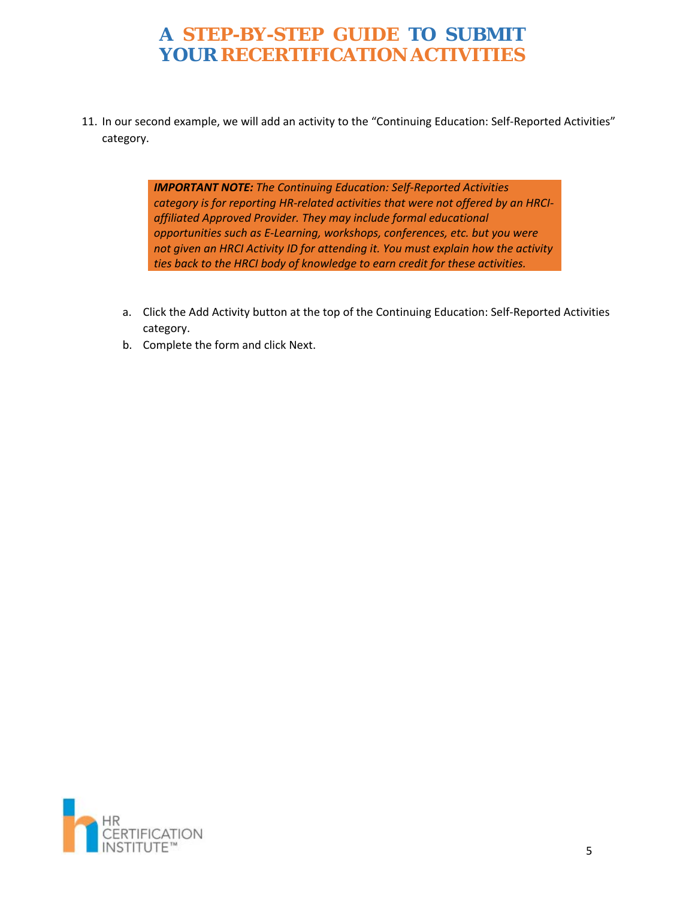11. In our second example, we will add an activity to the "Continuing Education: Self-Reported Activities" category.

> *IMPORTANT NOTE: The Continuing Education: Self‐Reported Activities category is for reporting HR‐related activities that were not offered by an HRCI‐ affiliated Approved Provider. They may include formal educational opportunities such as E‐Learning, workshops, conferences, etc. but you were not given an HRCI Activity ID for attending it. You must explain how the activity ties back to the HRCI body of knowledge to earn credit for these activities.*

- a. Click the Add Activity button at the top of the Continuing Education: Self‐Reported Activities category.
- b. Complete the form and click Next.

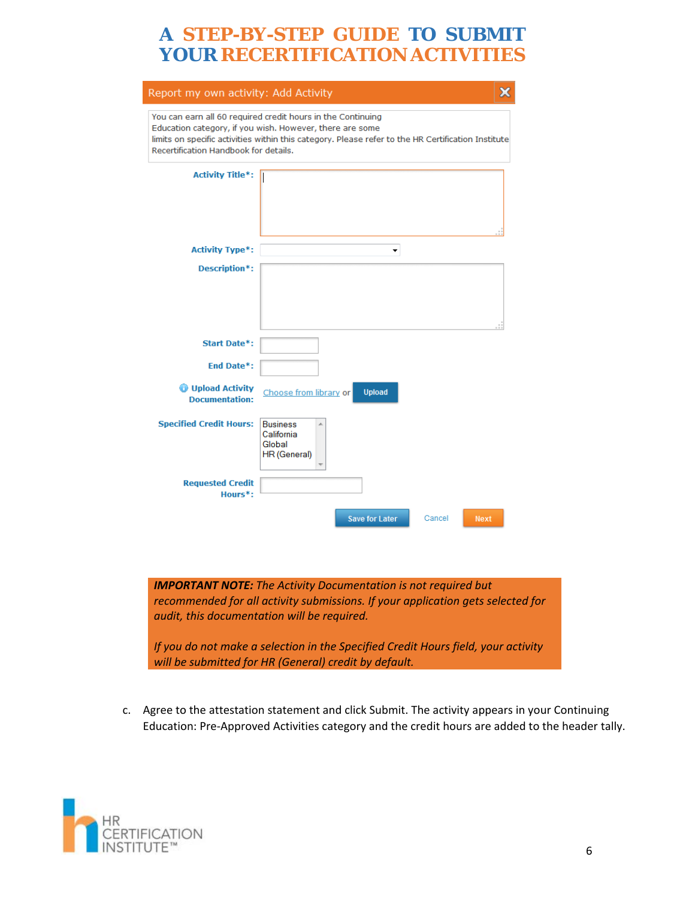| You can earn all 60 required credit hours in the Continuing<br>Education category, if you wish. However, there are some<br>limits on specific activities within this category. Please refer to the HR Certification Institute<br>Recertification Handbook for details.<br><b>Activity Title*:</b><br><b>Activity Type*:</b><br>▼<br>Description*:<br><b>Start Date*:</b><br><b>End Date*:</b><br><b>Upload Activity</b><br>Choose from library or<br><b>Upload</b><br><b>Documentation:</b><br><b>Specified Credit Hours:</b><br><b>Business</b><br>California<br>Global<br>HR (General)<br><b>Requested Credit</b><br>Hours <sup>*</sup> : | Report my own activity: Add Activity | ж |
|---------------------------------------------------------------------------------------------------------------------------------------------------------------------------------------------------------------------------------------------------------------------------------------------------------------------------------------------------------------------------------------------------------------------------------------------------------------------------------------------------------------------------------------------------------------------------------------------------------------------------------------------|--------------------------------------|---|
|                                                                                                                                                                                                                                                                                                                                                                                                                                                                                                                                                                                                                                             |                                      |   |
|                                                                                                                                                                                                                                                                                                                                                                                                                                                                                                                                                                                                                                             |                                      |   |
|                                                                                                                                                                                                                                                                                                                                                                                                                                                                                                                                                                                                                                             |                                      |   |
|                                                                                                                                                                                                                                                                                                                                                                                                                                                                                                                                                                                                                                             |                                      |   |
|                                                                                                                                                                                                                                                                                                                                                                                                                                                                                                                                                                                                                                             |                                      |   |
|                                                                                                                                                                                                                                                                                                                                                                                                                                                                                                                                                                                                                                             |                                      |   |
|                                                                                                                                                                                                                                                                                                                                                                                                                                                                                                                                                                                                                                             |                                      |   |
|                                                                                                                                                                                                                                                                                                                                                                                                                                                                                                                                                                                                                                             |                                      |   |
|                                                                                                                                                                                                                                                                                                                                                                                                                                                                                                                                                                                                                                             |                                      |   |
| <b>Save for Later</b><br>Cancel<br><b>Next</b>                                                                                                                                                                                                                                                                                                                                                                                                                                                                                                                                                                                              |                                      |   |
| <b>IMPORTANT NOTE:</b> The Activity Documentation is not required but                                                                                                                                                                                                                                                                                                                                                                                                                                                                                                                                                                       |                                      |   |

*If you do not make a selection in the Specified Credit Hours field, your activity will be submitted for HR (General) credit by default.*

c. Agree to the attestation statement and click Submit. The activity appears in your Continuing Education: Pre‐Approved Activities category and the credit hours are added to the header tally.

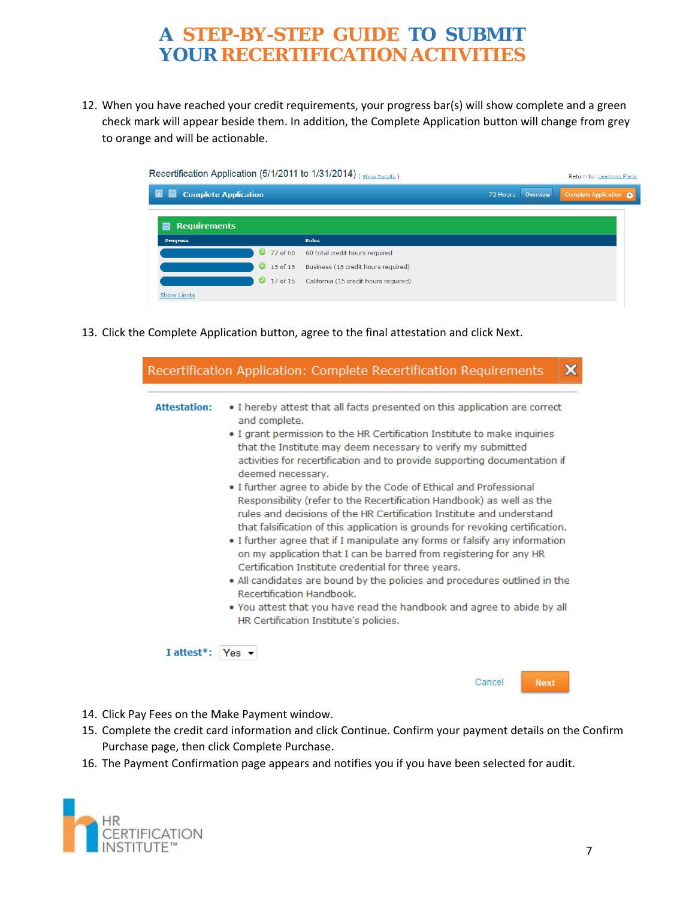12. When you have reached your credit requirements, your progress bar(s) will show complete and a green check mark will appear beside them. In addition, the Complete Application button will change from grey to orange and will be actionable.

|                                       |                       | Recertification Application (5/1/2011 to 1/31/2014) (Show Details) |                   | Return to: Learning Plans     |
|---------------------------------------|-----------------------|--------------------------------------------------------------------|-------------------|-------------------------------|
| ▣<br><b>Complete Application</b><br>⊟ |                       |                                                                    | 72 Hours Overview | Complete Application <b>O</b> |
| <b>Requirements</b><br>▭              |                       |                                                                    |                   |                               |
| <b>Progress</b>                       |                       | <b>Rules</b>                                                       |                   |                               |
|                                       | $\bigcirc$ 72 of 60   | 60 total credit hours required                                     |                   |                               |
|                                       | 15 of 15<br>$\bullet$ | Business (15 credit hours required)                                |                   |                               |
|                                       |                       | 17 of 15 California (15 credit hours required)                     |                   |                               |
| <b>Show Limits</b>                    |                       |                                                                    |                   |                               |

13. Click the Complete Application button, agree to the final attestation and click Next.

| <b>Attestation:</b>     | • I hereby attest that all facts presented on this application are correct<br>and complete.                                                                                                                                                                                                                                                                                                                                                               |
|-------------------------|-----------------------------------------------------------------------------------------------------------------------------------------------------------------------------------------------------------------------------------------------------------------------------------------------------------------------------------------------------------------------------------------------------------------------------------------------------------|
|                         | . I grant permission to the HR Certification Institute to make inquiries<br>that the Institute may deem necessary to verify my submitted                                                                                                                                                                                                                                                                                                                  |
|                         | activities for recertification and to provide supporting documentation if<br>deemed necessary.                                                                                                                                                                                                                                                                                                                                                            |
|                         | • I further agree to abide by the Code of Ethical and Professional<br>Responsibility (refer to the Recertification Handbook) as well as the<br>rules and decisions of the HR Certification Institute and understand<br>that falsification of this application is grounds for revoking certification.<br>. I further agree that if I manipulate any forms or falsify any information<br>on my application that I can be barred from registering for any HR |
|                         | Certification Institute credential for three years.<br>• All candidates are bound by the policies and procedures outlined in the<br>Recertification Handbook.                                                                                                                                                                                                                                                                                             |
|                         | • You attest that you have read the handbook and agree to abide by all<br>HR Certification Institute's policies.                                                                                                                                                                                                                                                                                                                                          |
| I attest <sup>*</sup> : | Yes $\rightarrow$                                                                                                                                                                                                                                                                                                                                                                                                                                         |
|                         | Cancel<br><b>Next</b>                                                                                                                                                                                                                                                                                                                                                                                                                                     |

- 14. Click Pay Fees on the Make Payment window.
- 15. Complete the credit card information and click Continue. Confirm your payment details on the Confirm Purchase page, then click Complete Purchase.
- 16. The Payment Confirmation page appears and notifies you if you have been selected for audit.